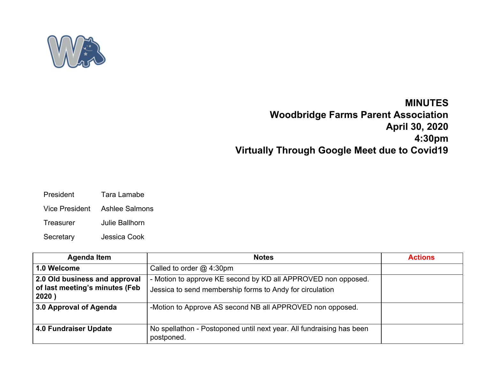

## **MINUTES Woodbridge Farms Parent Association April 30, 2020 4:30pm Virtually Through Google Meet due to Covid19**

- President Tara Lamabe
- Vice President Ashlee Salmons
- Treasurer Julie Ballhorn
- Secretary Jessica Cook

| <b>Agenda Item</b>                      | <b>Notes</b>                                                                       | <b>Actions</b> |
|-----------------------------------------|------------------------------------------------------------------------------------|----------------|
| 1.0 Welcome                             | Called to order $@$ 4:30pm                                                         |                |
| 2.0 Old business and approval           | - Motion to approve KE second by KD all APPROVED non opposed.                      |                |
| of last meeting's minutes (Feb<br>2020) | Jessica to send membership forms to Andy for circulation                           |                |
| 3.0 Approval of Agenda                  | -Motion to Approve AS second NB all APPROVED non opposed.                          |                |
| <b>4.0 Fundraiser Update</b>            | No spellathon - Postoponed until next year. All fundraising has been<br>postponed. |                |